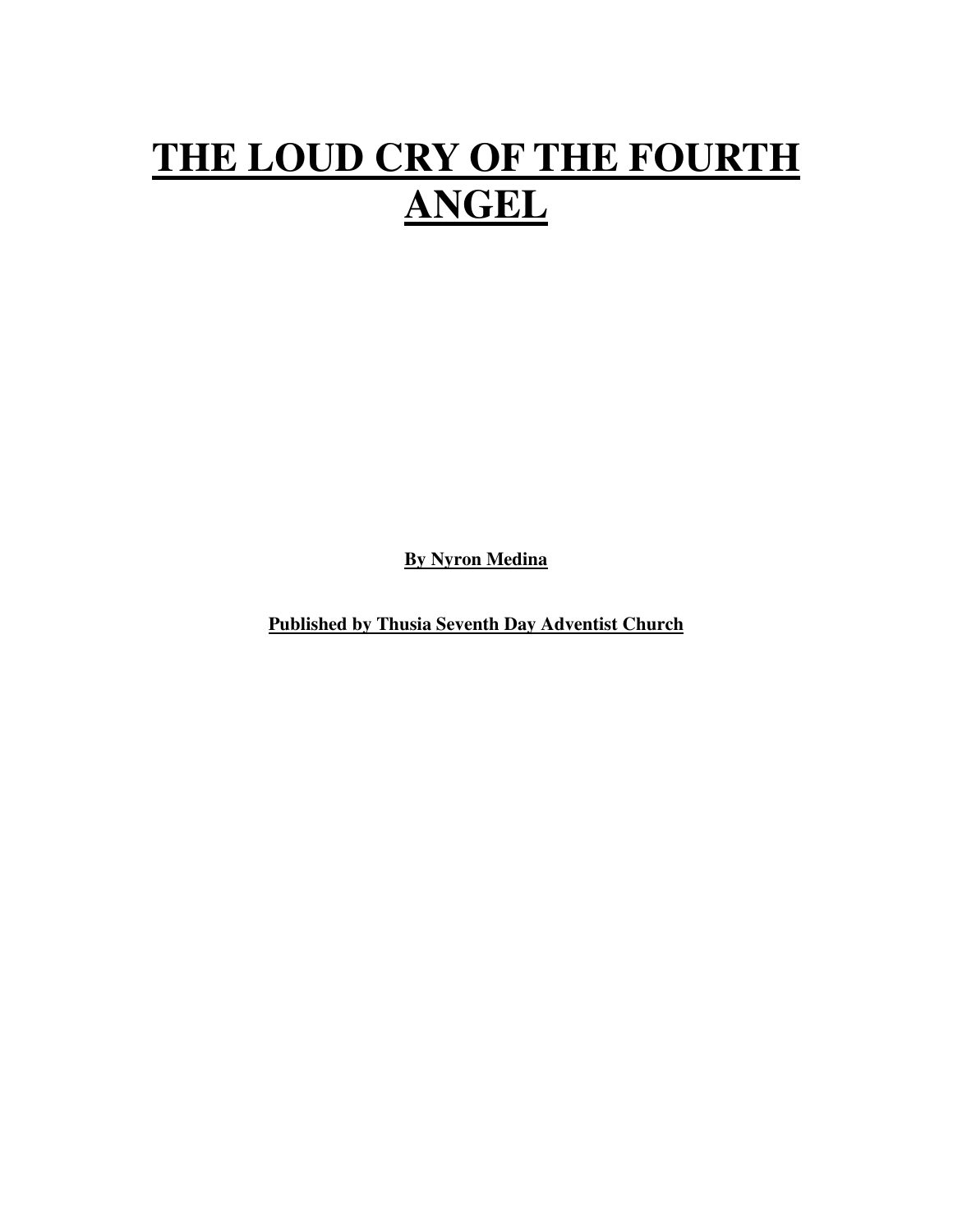# **THE LOUD CRY OF THE FOURTH ANGEL**

**By Nyron Medina**

**Published by Thusia Seventh Day Adventist Church**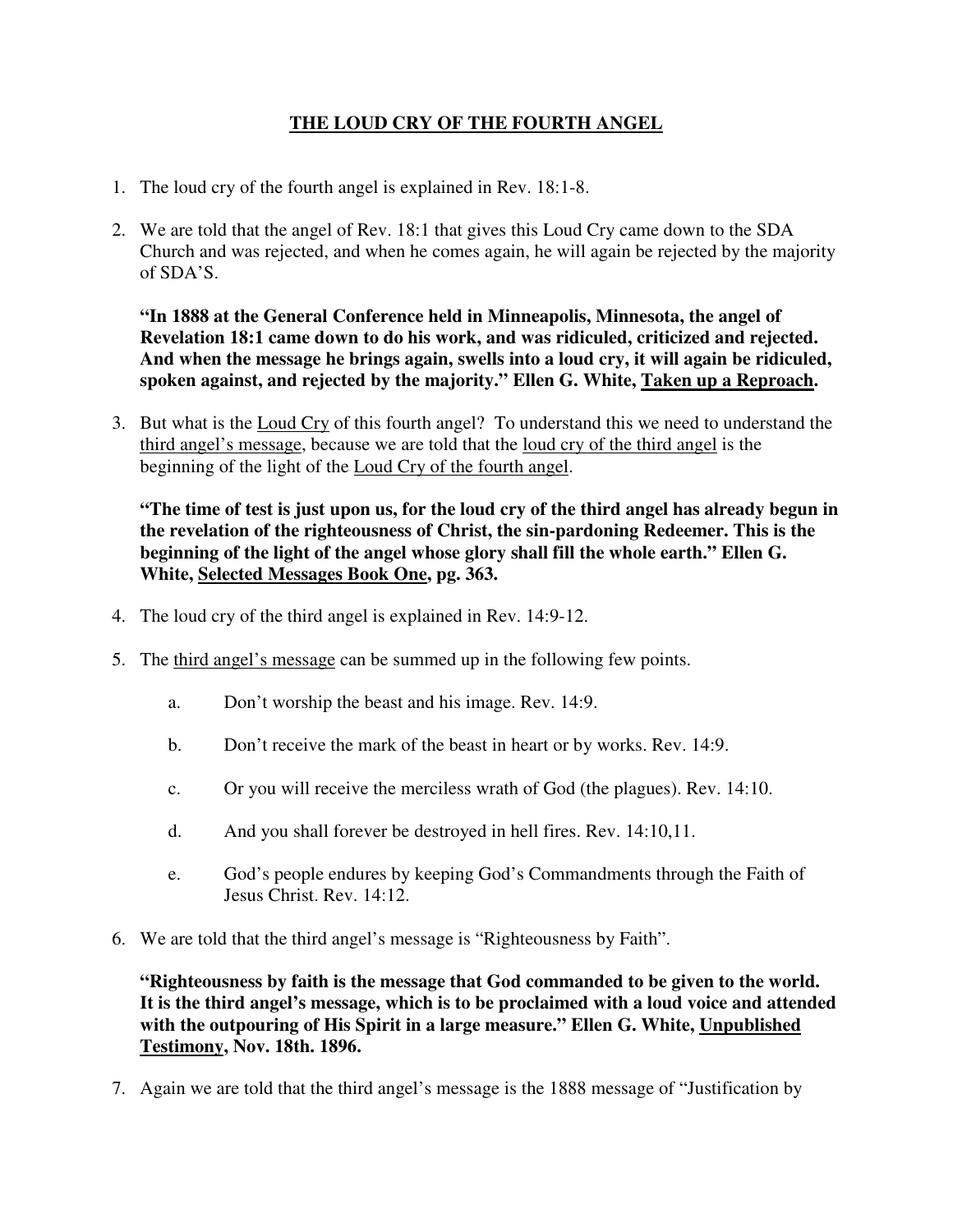# **THE LOUD CRY OF THE FOURTH ANGEL**

- 1. The loud cry of the fourth angel is explained in Rev. 18:1-8.
- 2. We are told that the angel of Rev. 18:1 that gives this Loud Cry came down to the SDA Church and was rejected, and when he comes again, he will again be rejected by the majority of SDA'S.

**"In 1888 at the General Conference held in Minneapolis, Minnesota, the angel of Revelation 18:1 came down to do his work, and was ridiculed, criticized and rejected. And when the message he brings again, swells into a loud cry, it will again be ridiculed, spoken against, and rejected by the majority." Ellen G. White, Taken up a Reproach.**

3. But what is the Loud Cry of this fourth angel? To understand this we need to understand the third angel's message, because we are told that the loud cry of the third angel is the beginning of the light of the Loud Cry of the fourth angel.

**"The time of test is just upon us, for the loud cry of the third angel has already begun in the revelation of the righteousness of Christ, the sin-pardoning Redeemer. This is the beginning of the light of the angel whose glory shall fill the whole earth." Ellen G. White, Selected Messages Book One, pg. 363.**

- 4. The loud cry of the third angel is explained in Rev. 14:9-12.
- 5. The third angel's message can be summed up in the following few points.
	- a. Don't worship the beast and his image. Rev. 14:9.
	- b. Don't receive the mark of the beast in heart or by works. Rev. 14:9.
	- c. Or you will receive the merciless wrath of God (the plagues). Rev. 14:10.
	- d. And you shall forever be destroyed in hell fires. Rev. 14:10,11.
	- e. God's people endures by keeping God's Commandments through the Faith of Jesus Christ. Rev. 14:12.
- 6. We are told that the third angel's message is "Righteousness by Faith".

**"Righteousness by faith is the message that God commanded to be given to the world. It is the third angel's message, which is to be proclaimed with a loud voice and attended with the outpouring of His Spirit in a large measure." Ellen G. White, Unpublished Testimony, Nov. 18th. 1896.**

7. Again we are told that the third angel's message is the 1888 message of "Justification by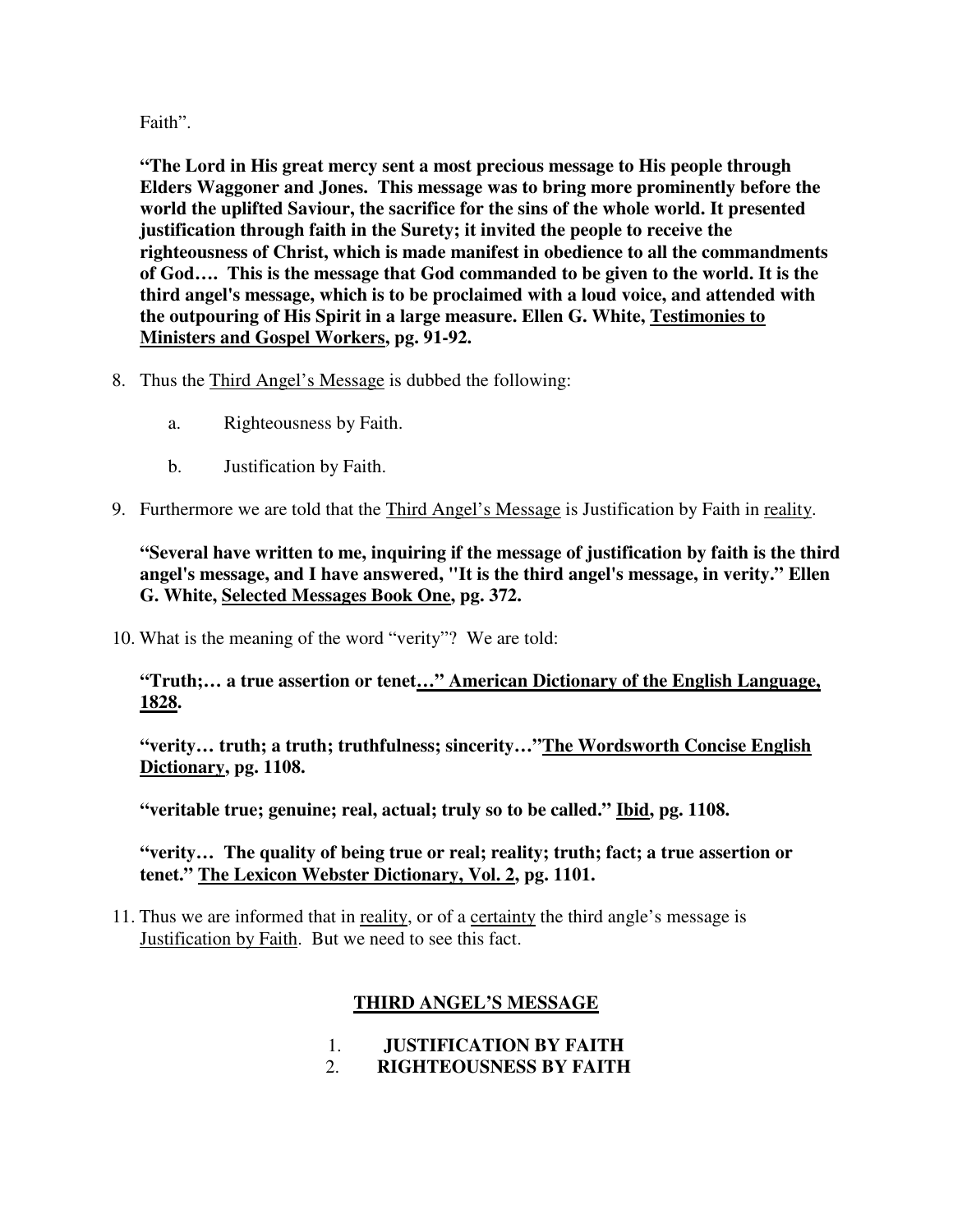### Faith".

**"The Lord in His great mercy sent a most precious message to His people through Elders Waggoner and Jones. This message was to bring more prominently before the world the uplifted Saviour, the sacrifice for the sins of the whole world. It presented justification through faith in the Surety; it invited the people to receive the righteousness of Christ, which is made manifest in obedience to all the commandments of God…. This is the message that God commanded to be given to the world. It is the third angel's message, which is to be proclaimed with a loud voice, and attended with the outpouring of His Spirit in a large measure. Ellen G. White, Testimonies to Ministers and Gospel Workers, pg. 91-92.**

- 8. Thus the Third Angel's Message is dubbed the following:
	- a. Righteousness by Faith.
	- b. Justification by Faith.
- 9. Furthermore we are told that the Third Angel's Message is Justification by Faith in reality.

### **"Several have written to me, inquiring if the message of justification by faith is the third angel's message, and I have answered, "It is the third angel's message, in verity." Ellen G. White, Selected Messages Book One, pg. 372.**

10. What is the meaning of the word "verity"? We are told:

## **"Truth;… a true assertion or tenet…" American Dictionary of the English Language, 1828.**

**"verity… truth; a truth; truthfulness; sincerity…"The Wordsworth Concise English Dictionary, pg. 1108.**

**"veritable true; genuine; real, actual; truly so to be called." Ibid, pg. 1108.**

### **"verity… The quality of being true or real; reality; truth; fact; a true assertion or tenet." The Lexicon Webster Dictionary, Vol. 2, pg. 1101.**

11. Thus we are informed that in reality, or of a certainty the third angle's message is Justification by Faith. But we need to see this fact.

# **THIRD ANGEL'S MESSAGE**

- 1. **JUSTIFICATION BY FAITH**
- 2. **RIGHTEOUSNESS BY FAITH**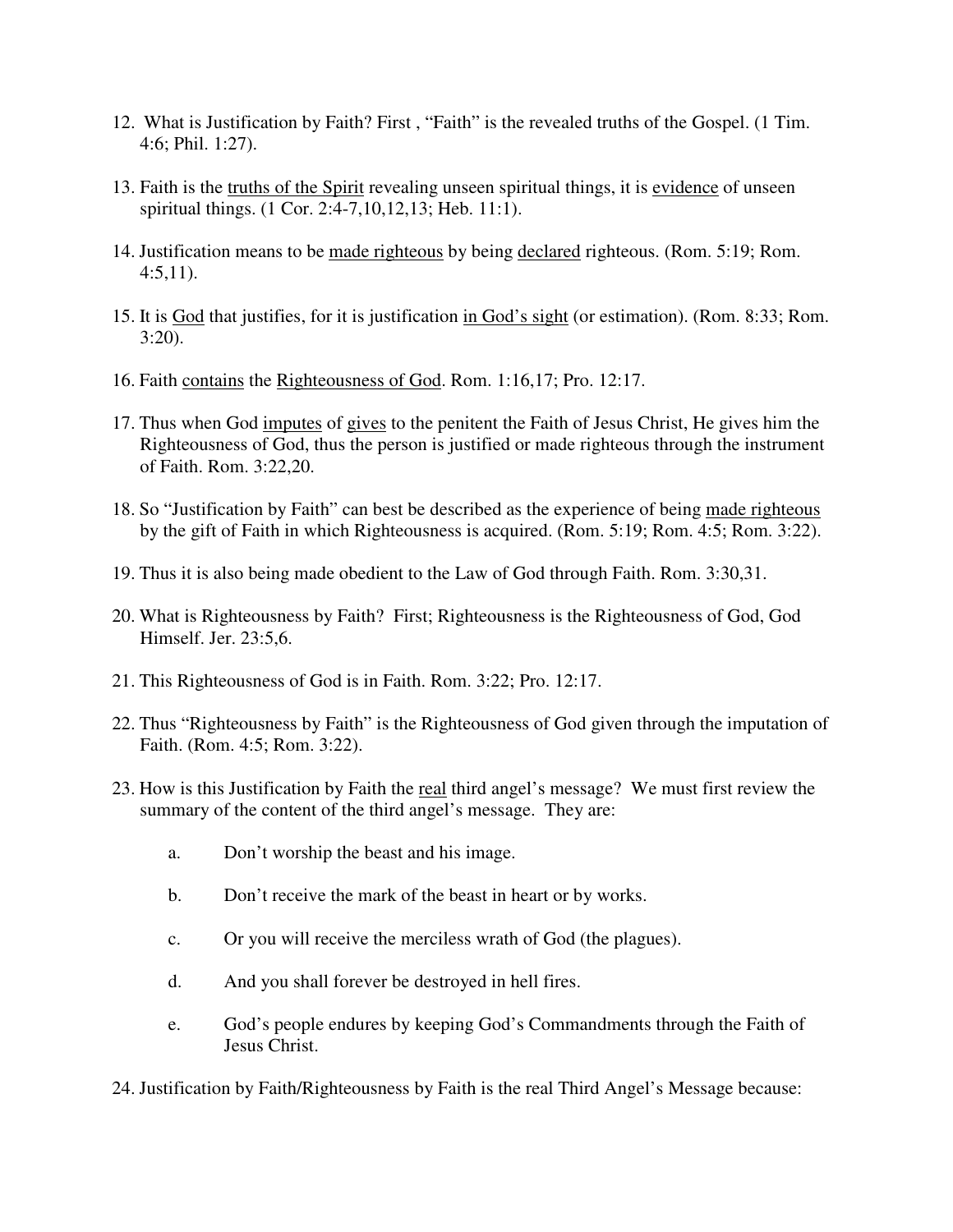- 12. What is Justification by Faith? First , "Faith" is the revealed truths of the Gospel. (1 Tim. 4:6; Phil. 1:27).
- 13. Faith is the truths of the Spirit revealing unseen spiritual things, it is evidence of unseen spiritual things. (1 Cor. 2:4-7,10,12,13; Heb. 11:1).
- 14. Justification means to be made righteous by being declared righteous. (Rom. 5:19; Rom.  $4:5,11$ ).
- 15. It is God that justifies, for it is justification in God's sight (or estimation). (Rom. 8:33; Rom.  $3:20$ ).
- 16. Faith contains the Righteousness of God. Rom. 1:16,17; Pro. 12:17.
- 17. Thus when God imputes of gives to the penitent the Faith of Jesus Christ, He gives him the Righteousness of God, thus the person is justified or made righteous through the instrument of Faith. Rom. 3:22,20.
- 18. So "Justification by Faith" can best be described as the experience of being made righteous by the gift of Faith in which Righteousness is acquired. (Rom. 5:19; Rom. 4:5; Rom. 3:22).
- 19. Thus it is also being made obedient to the Law of God through Faith. Rom. 3:30,31.
- 20. What is Righteousness by Faith? First; Righteousness is the Righteousness of God, God Himself. Jer. 23:5,6.
- 21. This Righteousness of God is in Faith. Rom. 3:22; Pro. 12:17.
- 22. Thus "Righteousness by Faith" is the Righteousness of God given through the imputation of Faith. (Rom. 4:5; Rom. 3:22).
- 23. How is this Justification by Faith the real third angel's message? We must first review the summary of the content of the third angel's message. They are:
	- a. Don't worship the beast and his image.
	- b. Don't receive the mark of the beast in heart or by works.
	- c. Or you will receive the merciless wrath of God (the plagues).
	- d. And you shall forever be destroyed in hell fires.
	- e. God's people endures by keeping God's Commandments through the Faith of Jesus Christ.
- 24. Justification by Faith/Righteousness by Faith is the real Third Angel's Message because: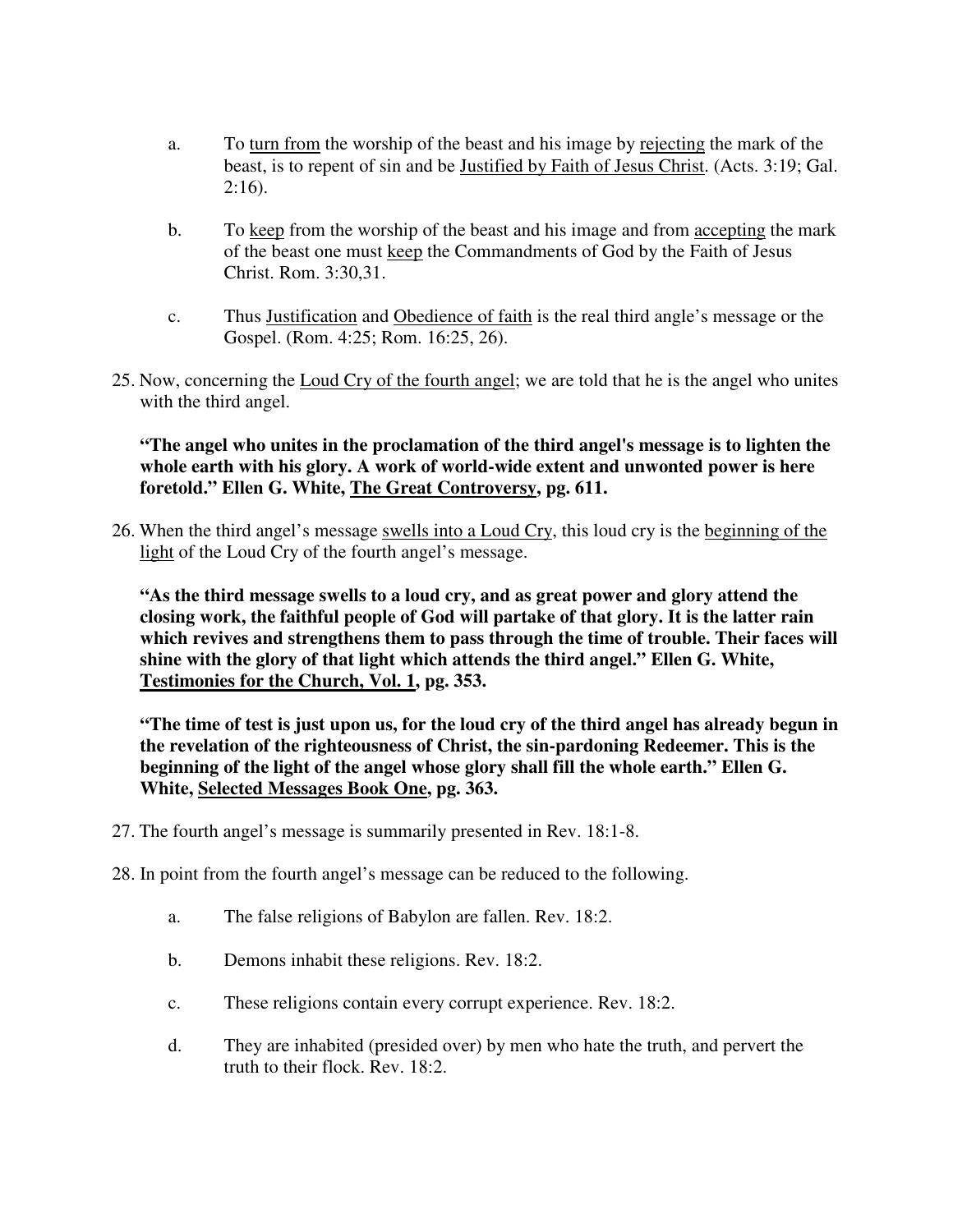- a. To turn from the worship of the beast and his image by rejecting the mark of the beast, is to repent of sin and be Justified by Faith of Jesus Christ. (Acts. 3:19; Gal. 2:16).
- b. To keep from the worship of the beast and his image and from accepting the mark of the beast one must keep the Commandments of God by the Faith of Jesus Christ. Rom. 3:30,31.
- c. Thus Justification and Obedience of faith is the real third angle's message or the Gospel. (Rom. 4:25; Rom. 16:25, 26).
- 25. Now, concerning the Loud Cry of the fourth angel; we are told that he is the angel who unites with the third angel.

#### **"The angel who unites in the proclamation of the third angel's message is to lighten the whole earth with his glory. A work of world-wide extent and unwonted power is here foretold." Ellen G. White, The Great Controversy, pg. 611.**

26. When the third angel's message swells into a Loud Cry, this loud cry is the beginning of the light of the Loud Cry of the fourth angel's message.

**"As the third message swells to a loud cry, and as great power and glory attend the closing work, the faithful people of God will partake of that glory. It is the latter rain which revives and strengthens them to pass through the time of trouble. Their faces will shine with the glory of that light which attends the third angel." Ellen G. White, Testimonies for the Church, Vol. 1, pg. 353.**

**"The time of test is just upon us, for the loud cry of the third angel has already begun in the revelation of the righteousness of Christ, the sin-pardoning Redeemer. This is the beginning of the light of the angel whose glory shall fill the whole earth." Ellen G. White, Selected Messages Book One, pg. 363.**

- 27. The fourth angel's message is summarily presented in Rev. 18:1-8.
- 28. In point from the fourth angel's message can be reduced to the following.
	- a. The false religions of Babylon are fallen. Rev. 18:2.
	- b. Demons inhabit these religions. Rev. 18:2.
	- c. These religions contain every corrupt experience. Rev. 18:2.
	- d. They are inhabited (presided over) by men who hate the truth, and pervert the truth to their flock. Rev. 18:2.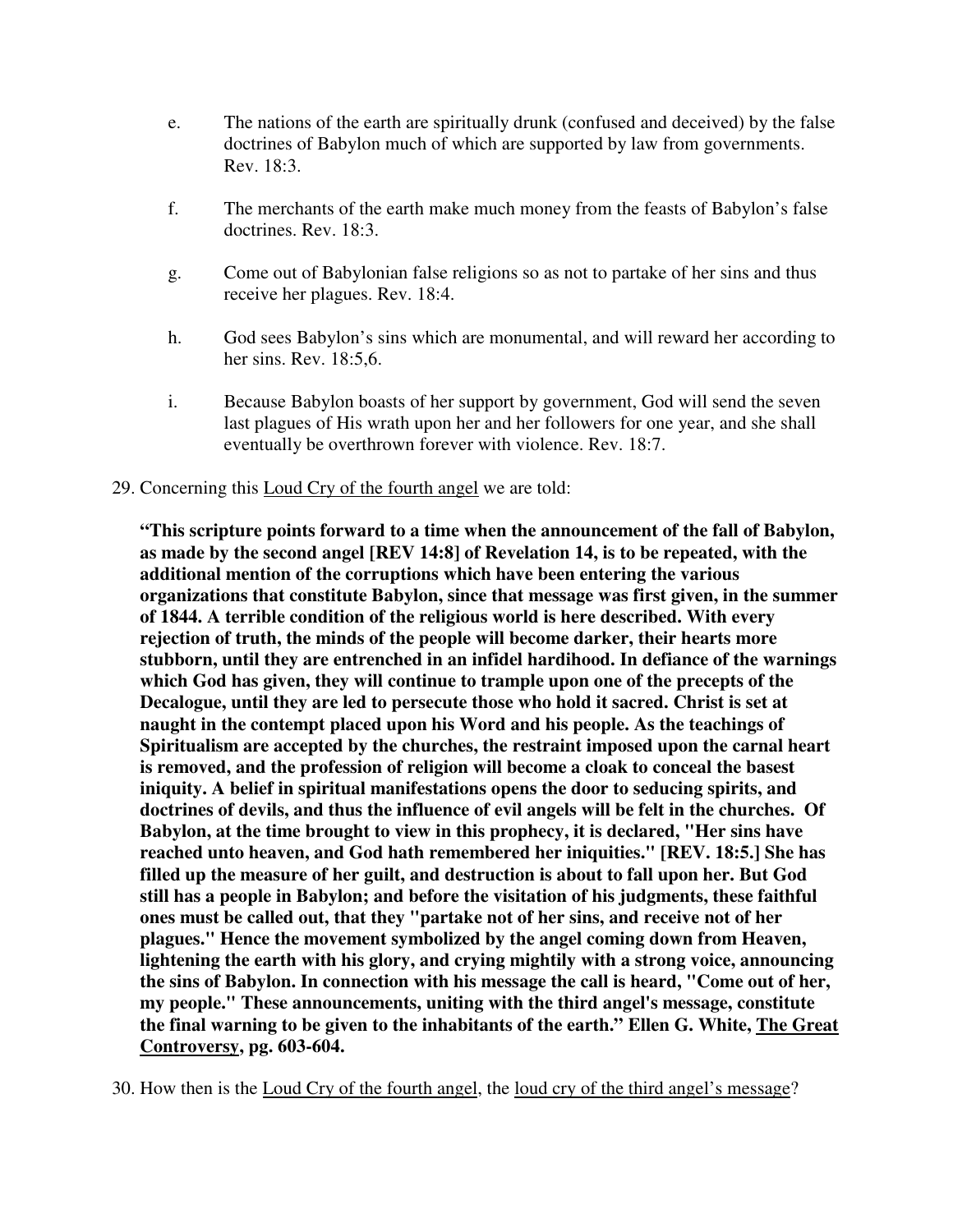- e. The nations of the earth are spiritually drunk (confused and deceived) by the false doctrines of Babylon much of which are supported by law from governments. Rev. 18:3.
- f. The merchants of the earth make much money from the feasts of Babylon's false doctrines. Rev. 18:3.
- g. Come out of Babylonian false religions so as not to partake of her sins and thus receive her plagues. Rev. 18:4.
- h. God sees Babylon's sins which are monumental, and will reward her according to her sins. Rev. 18:5,6.
- i. Because Babylon boasts of her support by government, God will send the seven last plagues of His wrath upon her and her followers for one year, and she shall eventually be overthrown forever with violence. Rev. 18:7.

#### 29. Concerning this Loud Cry of the fourth angel we are told:

 **"This scripture points forward to a time when the announcement of the fall of Babylon, as made by the second angel [REV 14:8] of Revelation 14, is to be repeated, with the additional mention of the corruptions which have been entering the various organizations that constitute Babylon, since that message was first given, in the summer of 1844. A terrible condition of the religious world is here described. With every rejection of truth, the minds of the people will become darker, their hearts more stubborn, until they are entrenched in an infidel hardihood. In defiance of the warnings which God has given, they will continue to trample upon one of the precepts of the Decalogue, until they are led to persecute those who hold it sacred. Christ is set at naught in the contempt placed upon his Word and his people. As the teachings of Spiritualism are accepted by the churches, the restraint imposed upon the carnal heart is removed, and the profession of religion will become a cloak to conceal the basest iniquity. A belief in spiritual manifestations opens the door to seducing spirits, and doctrines of devils, and thus the influence of evil angels will be felt in the churches. Of Babylon, at the time brought to view in this prophecy, it is declared, "Her sins have reached unto heaven, and God hath remembered her iniquities." [REV. 18:5.] She has filled up the measure of her guilt, and destruction is about to fall upon her. But God still has a people in Babylon; and before the visitation of his judgments, these faithful ones must be called out, that they "partake not of her sins, and receive not of her plagues." Hence the movement symbolized by the angel coming down from Heaven, lightening the earth with his glory, and crying mightily with a strong voice, announcing the sins of Babylon. In connection with his message the call is heard, "Come out of her, my people." These announcements, uniting with the third angel's message, constitute the final warning to be given to the inhabitants of the earth." Ellen G. White, The Great Controversy, pg. 603-604.**

30. How then is the Loud Cry of the fourth angel, the loud cry of the third angel's message?